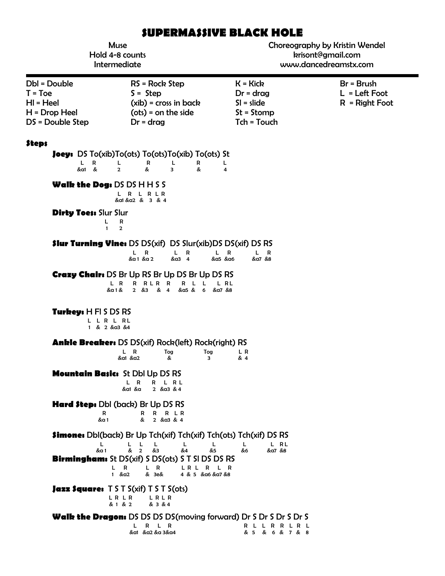# **SUPERMASSIVE BLACK HOLE**

| <b>Muse</b><br>Hold 4-8 counts<br>Intermediate                                 |                                                                                                                                                                                                                                                         | Choreography by Kristin Wendel<br>krisont@gmail.com<br>www.dancedreamstx.com |                                                     |
|--------------------------------------------------------------------------------|---------------------------------------------------------------------------------------------------------------------------------------------------------------------------------------------------------------------------------------------------------|------------------------------------------------------------------------------|-----------------------------------------------------|
| Dbl = Double<br>$T = Toe$<br>$H = Heel$<br>$H = Drop Heel$<br>DS = Double Step | $RS = Rock Step$<br>$S =$ Step<br>$(xib)$ = cross in back<br>$(ots) = on the side$<br>$Dr = drag$                                                                                                                                                       | $K = Kick$<br>$Dr = drag$<br>$SI = slide$<br>$St = Stomp$<br>Tch = Touch     | $Br = Brush$<br>$L = Left Foot$<br>$R = Right Foot$ |
| <b>Steps</b><br>R.<br>L.<br>&a1 &                                              | <b>Joey:</b> DS $To(xib)To(ots)$ $To(ots)To(xib)$ $To(ots)$ St<br>L<br>R<br>L<br>R<br>$\overline{2}$<br>&<br>$\overline{\mathbf{3}}$<br>&                                                                                                               | L<br>4                                                                       |                                                     |
| <b>Dirty Toes: Slur Slur</b><br>L<br>$\mathbf{1}$                              | <b>Walk the Dog: DS DS H H S S</b><br>L R<br>L R L R<br>&a1 &a2 & 3 & 4<br>R<br>$\overline{2}$                                                                                                                                                          |                                                                              |                                                     |
|                                                                                | <b>\$lur Turning Vine: DS DS(xif) DS Slur(xib)DS DS(xif) DS RS</b><br>$L$ R<br>L<br>L.<br>R<br>&a3 4<br>&a1 &a2<br><b>Crazy Chair:</b> DS Br Up RS Br Up DS Br Up DS RS<br>L R<br>R RLR R<br>R L L<br>&a5 & 6<br>&a 1 &<br>$2 \& 3$<br>& 4              | R<br>L R<br>&α5 &α6<br>&a7 &8<br>L RL<br>&a7 &8                              |                                                     |
| Turkey: H FI S DS RS                                                           | LLRLRL<br>1 & 2 & a3 & 4                                                                                                                                                                                                                                |                                                                              |                                                     |
|                                                                                | <b>Ankle Breaker:</b> DS DS(xif) Rock(left) Rock(right) RS<br>L<br>R<br>Tog<br>Tog<br>&<br>&a1 &a2<br>3                                                                                                                                                 | L R<br>& 4                                                                   |                                                     |
|                                                                                | <b>Mountain Basics St Dbl Up DS RS</b><br>R<br>R<br>R L<br>&a1 &a<br>2 $&a3 &4$                                                                                                                                                                         |                                                                              |                                                     |
| R<br>&a 1                                                                      | <b>Hard Step:</b> Dbl (back) Br Up DS RS<br>R R L R<br>R<br>&<br>2 $&$ a3 $&$ 4                                                                                                                                                                         |                                                                              |                                                     |
| L<br>&a 1                                                                      | Simone: Dbl(back) Br Up Tch(xif) Tch(xif) Tch(ots) Tch(xif) DS RS<br>-L<br>L<br>L<br>L<br>L.<br>& 2<br>&3<br>&4<br>&5<br><b>Birmingham:</b> St DS(xif) S DS(ots) S T SI DS DS RS<br>R<br>L R<br>L<br>LRL R<br>$1 \& a2$<br>& 3e&<br>4 & 5 & α6 & α7 & 8 | L RL<br>L<br>&6<br>&a7 &8<br>L R                                             |                                                     |
|                                                                                | <b>Jazz Square:</b> $T S T S(xif) T S T S(ots)$<br>L R L R<br>LRLR<br>& 1 & 2<br>& 3 & 4                                                                                                                                                                |                                                                              |                                                     |
|                                                                                | <b>Walk the Dragon:</b> DS DS DS DS(moving forward) Dr S Dr S Dr S Dr S<br>R L R<br>L<br>&a1 &a2 &a 3&a4                                                                                                                                                | R L L R R L R L<br>& 5 & 6 & 7 & 8                                           |                                                     |